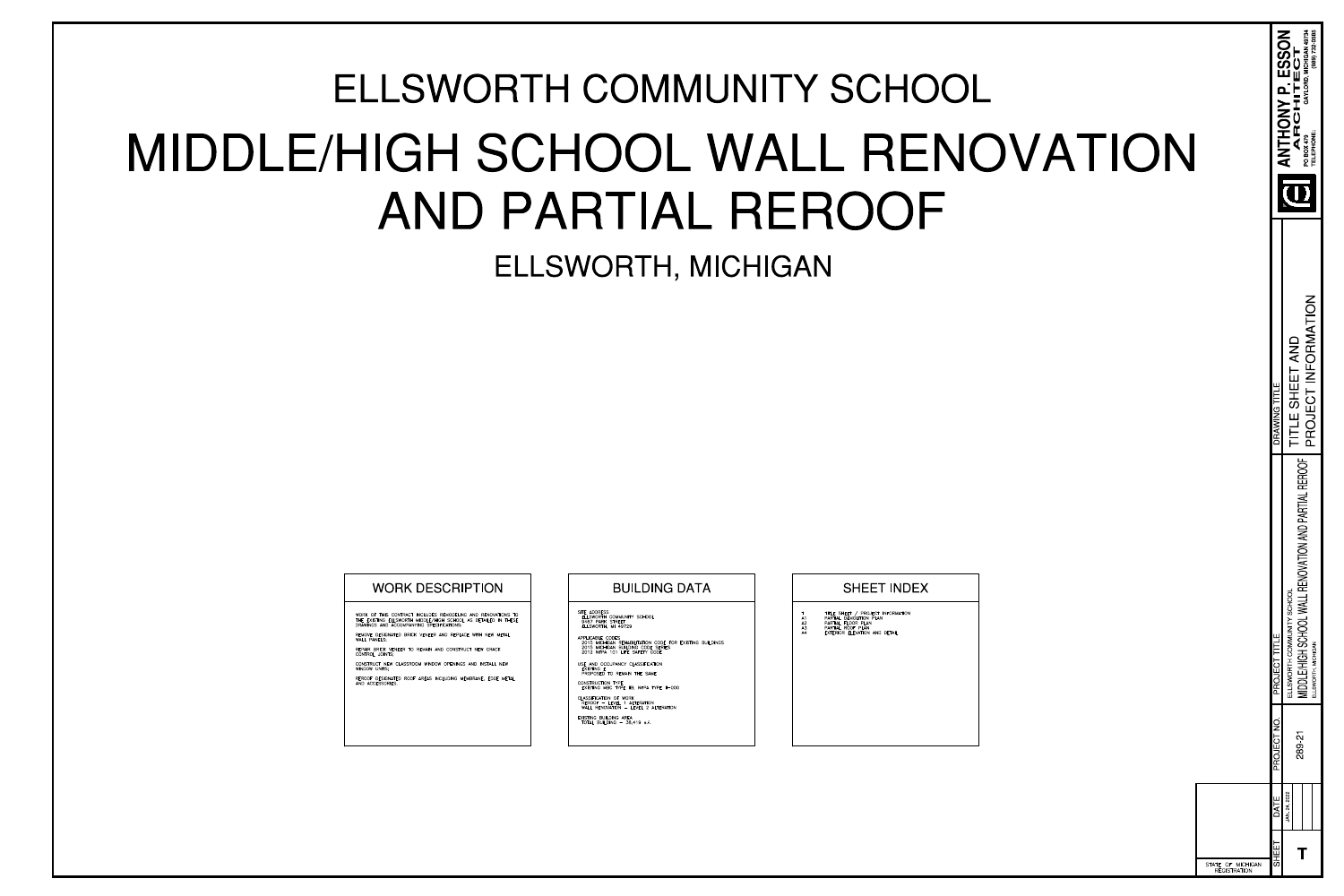| OF MICHIGAN<br><b>REGISTRATION</b> |                                                                                                                      |                                        |                                                                                                        |
|------------------------------------|----------------------------------------------------------------------------------------------------------------------|----------------------------------------|--------------------------------------------------------------------------------------------------------|
| PROJECT NO.<br>DATE<br>SHEET       | PROJECT TITLE                                                                                                        | DRAWING TITLE                          |                                                                                                        |
| 289-21<br>JAN 24, 2022             | <b>REROOF</b><br>MIDDLE/HIGH SCHOOL WALL RENOVATION AND PARTIAL<br>ELLSWORTH COMMUNITY SCHOOL<br>ELLSWORTH, MICHIGAN | PROJECT INFORMATION<br>TITLE SHEET AND | GAYLORD, MICHIGAN 49734<br>(989) 732-0585<br>ANTHONY P. ESSON<br>ARCHITECT<br>TELEPHONE:<br>PO BOX 479 |
|                                    |                                                                                                                      |                                        |                                                                                                        |



# ELLSWORTH, MICHIGAN ELLSWORTH COMMUNITY SCHOOL MIDDLE/HIGH SCHOOL WALL RENOVATION AND PARTIAL REROOF

| WORK OF THIS CONTRACT INCLUDES REMODELIN<br>THE EXISTING ELLSWORTH MIDDLE/HIGH SCHOOL<br>DRAWINGS AND ACCOMPANYING SPECIFICATIONS: |
|------------------------------------------------------------------------------------------------------------------------------------|
| REMOVE DESIGNATED BRICK VENEER AND REPLA<br>WALL PANELS:                                                                           |
| REPAIR BRICK VENEER TO REMAIN AND CONSTR<br>CONTROL JOINTS:                                                                        |
| CONSTRUCT NEW CLASSROOM WINDOW OPENING<br>WINDOW UNITS:                                                                            |
| REROOF DESIGNATED ROOF AREAS INCLUDING M<br>AND ACCESSORIES.                                                                       |

ING AND RENOVATIONS TO L AS DETAILED IN THESE

ACE WITH NEW METAL

RUCT NEW CRACK

GS AND INSTALL NEW

MEMBRANE, EDGE METAL

# WORK DESCRIPTION  $\vert$   $\vert$  BUILDING DATA  $\vert$  SHEET INDEX

SITE ADDRESS<br>ELLSWORTH COMMUNITY SCHOOL<br>9467 PARK STREET ELLSWORTH, MI 49729

APPLICABLE CODES 2015 MICHIGAN REHABILITATION CODE FOR EXISTING BUILDINGS 2015 MICHIGAN BUILDING CODE SERIES 2012 NFPA 101 LIFE SAFETY CODE

USE AND OCCUPANCY CLASSIFICATION **EXISTING E** PROPOSED TO REMAIN THE SAME

CONSTRUCTION TYPE EXISTING MBC TYPE IIB; NFPA TYPE II-000

CLASSIFICATION OF WORK REROOF - LEVEL 1 ALTERATION<br>
WALL RENOVATION - LEVEL 2 ALTERATION

EXISTING BUILDING AREA<br>TOTAL BUILDING - 38,419 s.f.

#### TITLE SHEET / PROJECT INFORMATION<br>PARTIAL DEMOLITION PLAN  $AA$ PARTIAL FLOOR PLAN A2  $A3$ PARTIAL ROOF PLAN EXTERIOR ELEVATION AND DETAIL  $AA$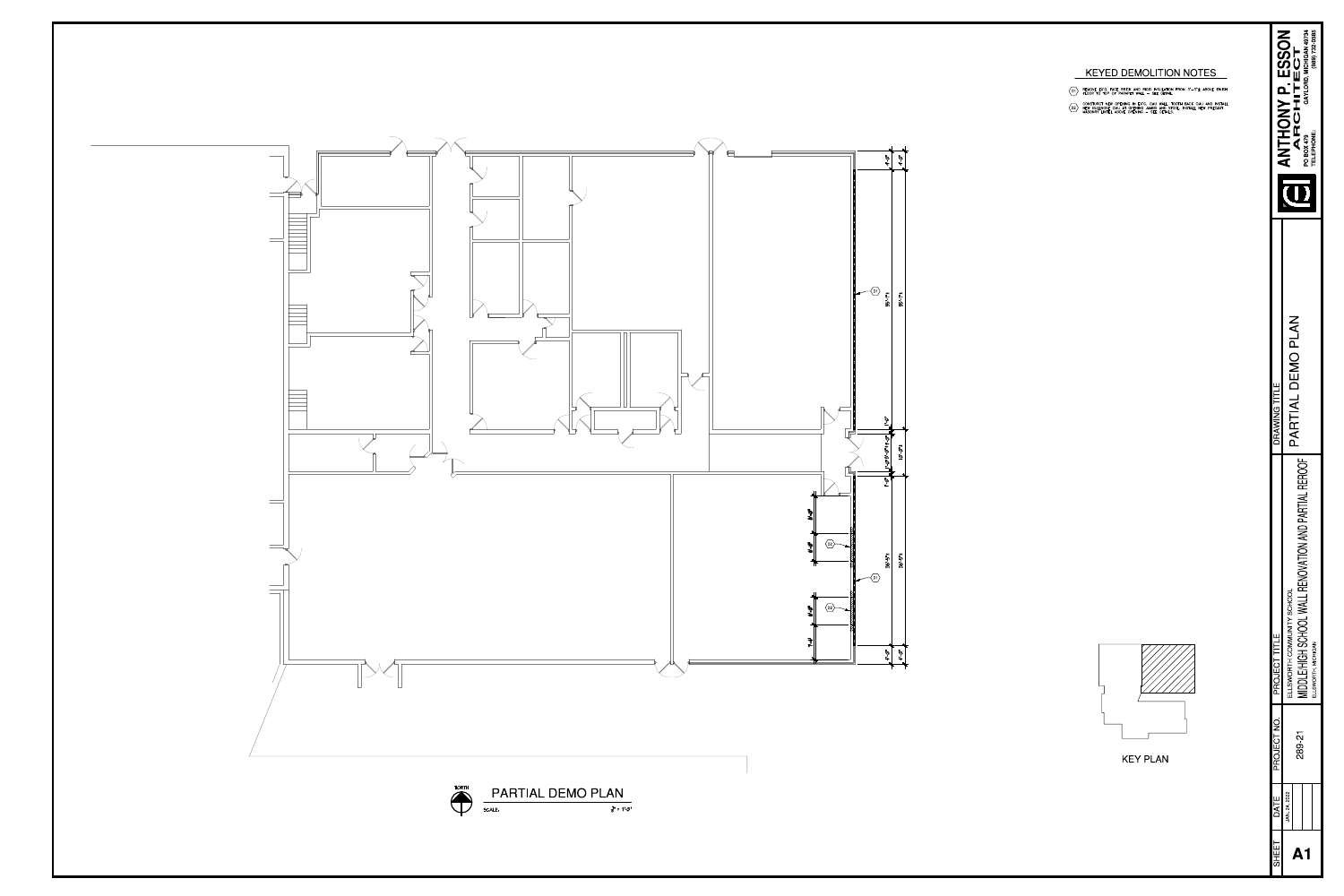- REMOVE EX'G. FACE BRICK AND RIGID INSULATION FROM  $3' 3'' \pm$  ABOVE FINISH FLOOR TO TOP OF PARAPET WALL SEE DETAIL.
- CONSTURCT NEW OPENING IN EX'G. CMU WALL. TOOTH BACK CMU AND INSTALL<br>NEW BULLNOSE CMU AT OPENING JAMBS AND STOOL. INSTALL NEW PRECAST<br>MASONRY LINTEL ABOVE OPENING SEE DETAILS.

| PARTIAL DEMO PLAN<br>DRAWING TITLE<br><b>REROOF</b><br>MIDDLE/HIGH SCHOOL WALL RENOVATION AND PARTIAL<br>ELLSWORTH COMMUNITY SCHOOL<br>PROJECT TITLE<br>ELLSWORTH, MICHIGAN | PROJECT NO.<br>289-21 | JAN 24, 2022<br>DATE |
|-----------------------------------------------------------------------------------------------------------------------------------------------------------------------------|-----------------------|----------------------|
|                                                                                                                                                                             |                       |                      |
|                                                                                                                                                                             |                       |                      |





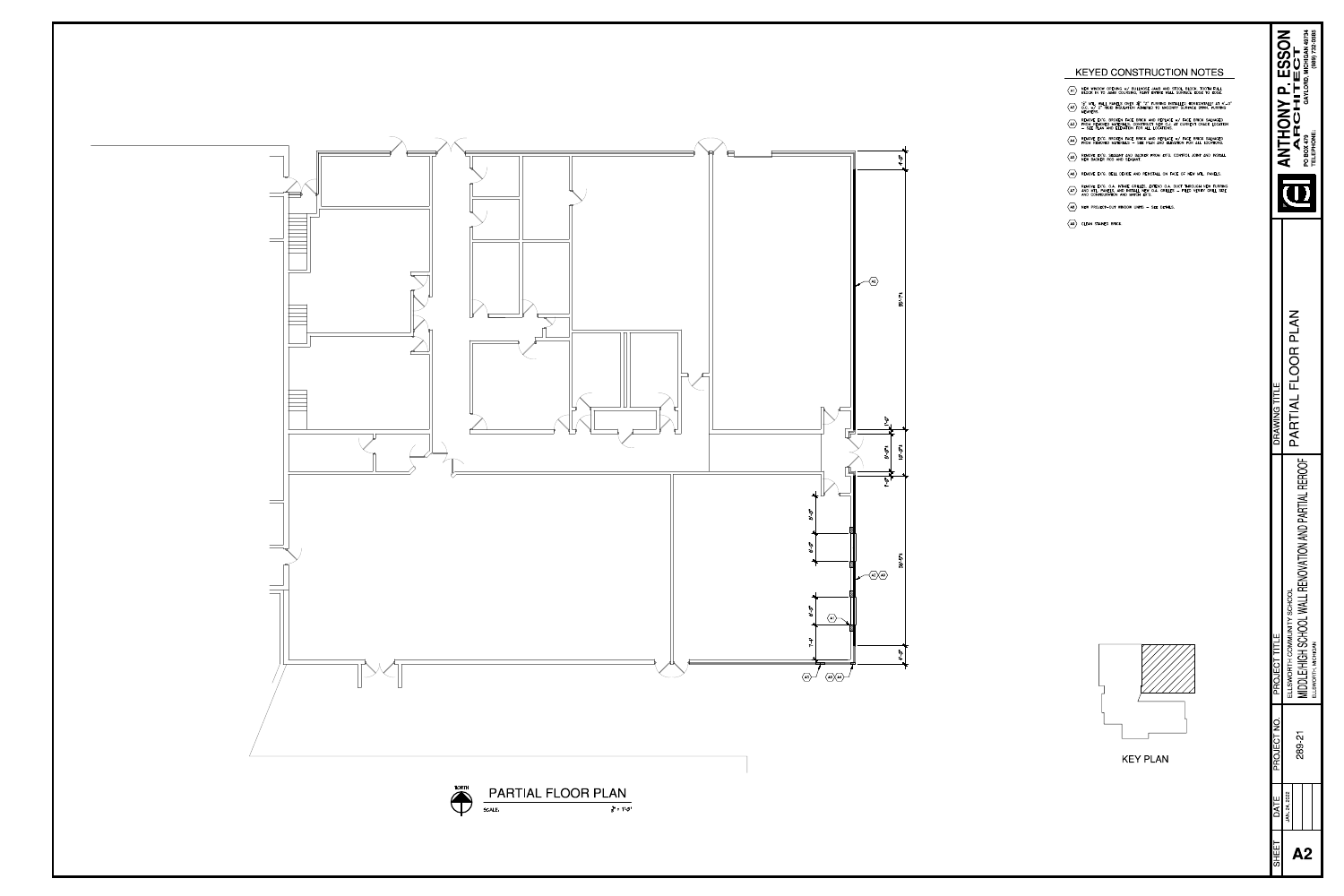

## KEYED CONSTRUCTION NOTES

- $\langle$ A1 $\rangle$  NEW WINDOW OPENING w/ BULLNOSE JAMB AND STOOL BLOCK. TOOTH FULL BLOCK IN TO JAMB COURSING, PAINT ENTIRE WALL SURFACE EDGE TO EDGE.
- $\begin{pmatrix} 1 & 1 \\ 1 & 0 \end{pmatrix}^n$  MTL. WALL PANELS OVER  $3 & 7 & 7$  furring installed horizontally at  $4'-0$  o.c. w/ 2 rigid insulation adhered to masonry surface btwn. Furring members.
- REMOVE EX'G. BROKEN FACE BRICK AND REPLACE W/ FACE BRICK SALVAGED<br>FROM REMOVED MATERIALS. CONSTRUCT NEW C.J. AT CURRENT CRACK LOCATION<br>- SEE PLAN AND ELEVATION FOR ALL LOCATIONS.
- $\overline{\langle A4 \rangle}$  REMOVE EX'G. BROKEN FACE BRICK AND REPLACE  $w/$  FACE BRICK SALVAGED<br>FROM REMOVED MATERIALS SEE PLAN AND ELEVATION FOR ALL LOCATIONS.
- $\overline{AB}$  REMOVE EX'G. SEALANT AND BACKER FROM EX'G. CONTROL JOINT AND INSTALL NEW BACKER ROD AND SEALANT.
- $\langle$ A6 $\rangle$  REMOVE EX'G. BELL DEVICE AND REINSTALL ON FACE OF NEW MTL. PANELS.
- REMOVE EX'G. O.A. INTAKE GRILLES, EXTEND O.A. DUCT THROUGH NEW FURRING<br>AND MTL. PANELS, AND INSTALL NEW O.A. GRILLES FILED VERIFY GRILL SIZE<br>AND CONFIGURATION AND MATCH EX'G.
- $\langle$ A8 $\rangle$  NEW PROJECT-OUT WINDOW UNITS SEE DETAILS.
- $\langle$ A9 $\rangle$  CLEAN STAINED BRICK.



## **KEY PLAN**

| SHEET | DATE         | PROJECT NC | PROJECT TITLE                                       | DRAWING TITLE      | $\frac{1}{2}$     | C<br>C<br>C<br>C<br>C  |
|-------|--------------|------------|-----------------------------------------------------|--------------------|-------------------|------------------------|
|       | JAN 24, 2022 |            | ELLSWORTH COMMUNITY SCHOOL                          |                    |                   |                        |
|       |              | 289-2      |                                                     | PARTIAL FLOOR PLAN |                   | ARCHITECT              |
|       |              |            | Υ<br>MIDDLE/HIGH SCHOOL WALL RENOVATION AND PARTIAI |                    | <b>PO BOX 479</b> | GAYLORD. MICHIGAN 4973 |
|       |              |            | ELLSWORTH, MICHIGAN                                 |                    | <b>TELEPHONE</b>  | (989) 732-0585         |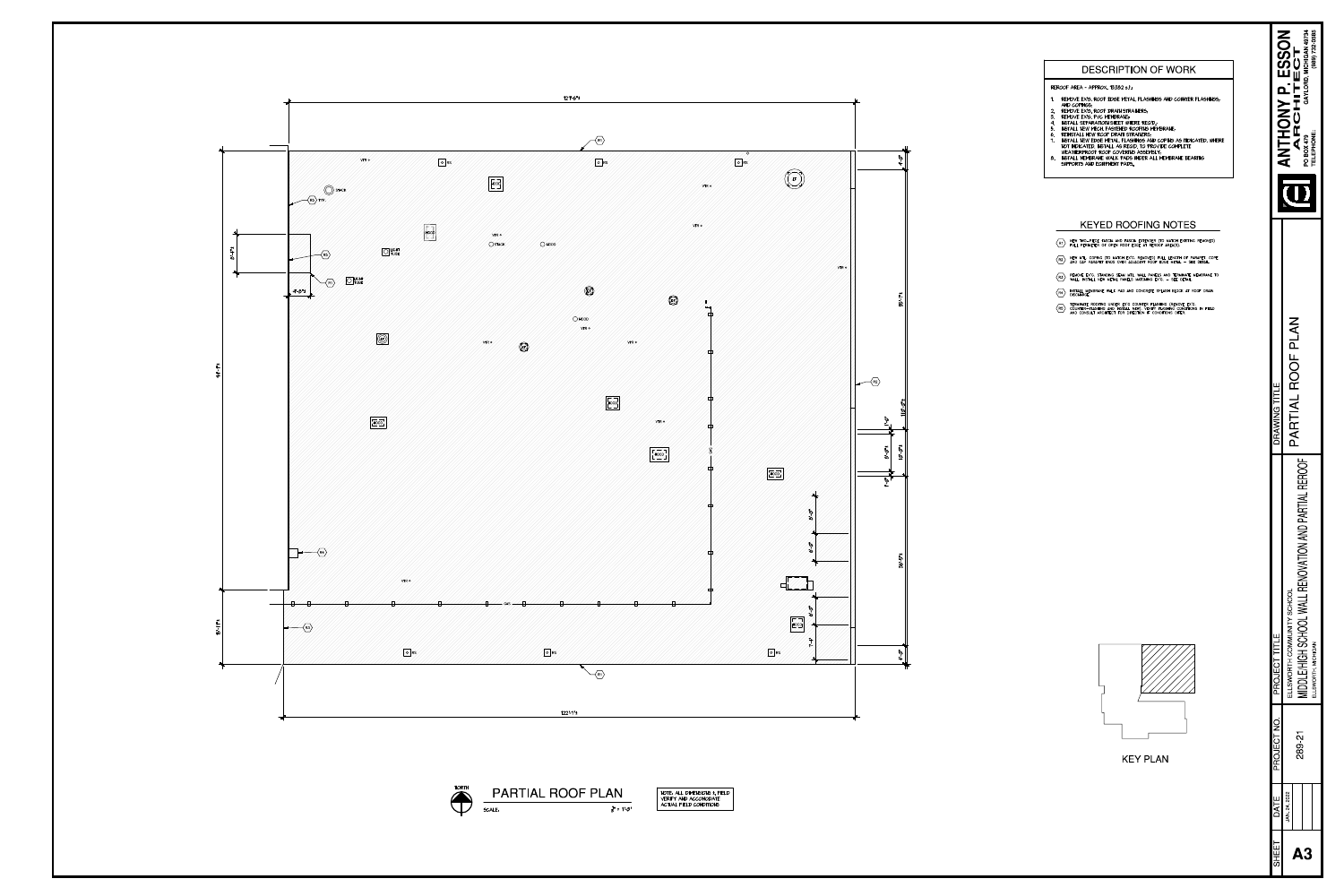



## DESCRIPTION OF WORK

#### REROOF AREA - APPROX. 13,382 s.f.:

- REMOVE EX'G. ROOF EDGE METAL, FLASHINGS AND COUNTER FLASHINGS;
- AND COPINGS; 2. REMOVE EX'G. ROOF DRAIN STRAINERS;
- 3. REMOVE EXIG. PVC MEMBRANE;<br>4. INSTALL SEPARATIOIN SHEET WHERE REQID.;
- 5. INSTALL NEW MECH. FASTENED ROOFING MEMBRANE;
- 6. REINSTALL NEW ROOF DRAIN STRAINERS; INSTALL NEW EDGE METAL, FLASHINGS AND COPING AS INDICATED. WHERE
- NOT INDICATED, INSTALL AS REQ'D. TO PROVIDE COMPLETE WEATHERPROOF ROOF COVERING ASSEMBLY;
- 8. INSTALL MEMBRANE WALK PADS UNDER ALL MEMBRANE BEARING SUPPORTS AND EQUIPMENT PADS.

| SHEET     | DATE         | PROJECT NO | PROJECT TITLE                                                                | DRAWING TITLE     |                                                                         |
|-----------|--------------|------------|------------------------------------------------------------------------------|-------------------|-------------------------------------------------------------------------|
|           | JAN 24, 2022 | 289-21     | ELLSWORTH COMMUNITY SCHOOL                                                   | PARTIAL ROOF PLAN | <b>ANTHONY P. ESSON</b><br>ARCHITECT                                    |
| <b>A3</b> |              |            | MIDDLE/HIGH SCHOOL WALL RENOVATION AND PARTIAL REROOF<br>ELLSWORTH, MICHIGAN |                   | GAYLORD, MICHIGAN 49734<br>$(989)$ 732-0585<br>TELEPHONE:<br>PO BOX 479 |
|           |              |            |                                                                              |                   |                                                                         |
|           |              |            |                                                                              |                   |                                                                         |
|           |              |            |                                                                              |                   |                                                                         |
|           |              |            |                                                                              |                   |                                                                         |

### KEYED ROOFING NOTES

- $\langle R1 \rangle$  NEW TWO-PIECE FASCIA AND FASCIA EXTENDER (TO MATCH EXISTING REMOVED)<br>FULL PERIMETER OF OPEN ROOF EDGE AT REROOF AREA(S).
- $\overline{R2}$  NEW MTL. COPING (TO MATCH EX'G. REMOVED) FULL LENGTH OF PARAPET. COPE<br>AND CAP PARAPET ENDS OVER ADJACENT ROOF EDGE METAL SEE DETAIL.
- $\langle$ R3 $\rangle$  REMOVE EX'G. STANDING SEAM MTL. WALL PANELS AND TERMINATE MEMBRANE TO WALL. INSTALL NEW METAL PANELS MATCHING EX'G.  $-$  SEE DETAIL.
- $\langle R4 \rangle$  INSTALL MEMBRANE WALK PAD AND CONCRETE SPLASH BLOCK AT ROOF DRAIN DISCHARGE.
- TERMINATE ROOFING UNDER EX'G COUNTER FLASHING (REMOVE EX'G.<br>COUNTER-FLASHING AND INSTALL NEW). VERIFY FLASHING CONDITIONS IN FIELD<br>AND CONSULT ARCHITECT FOR DIRECTION IF CONDITIONS DIFER.



## KEY PLAN